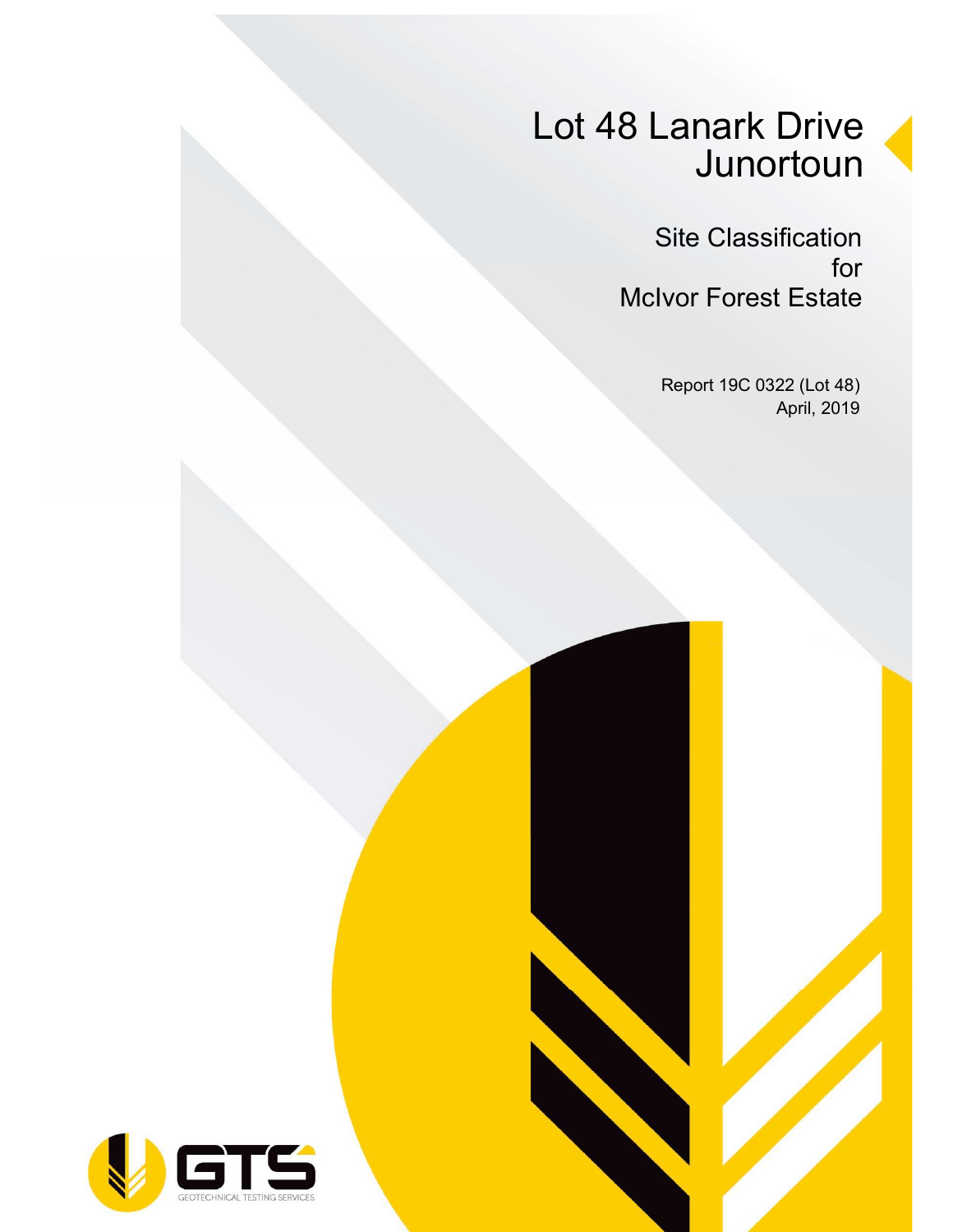# Lot 48 Lanark Drive **Junortoun**

Site Classification for McIvor Forest Estate

> Report 19C 0322 (Lot 48) April, 2019

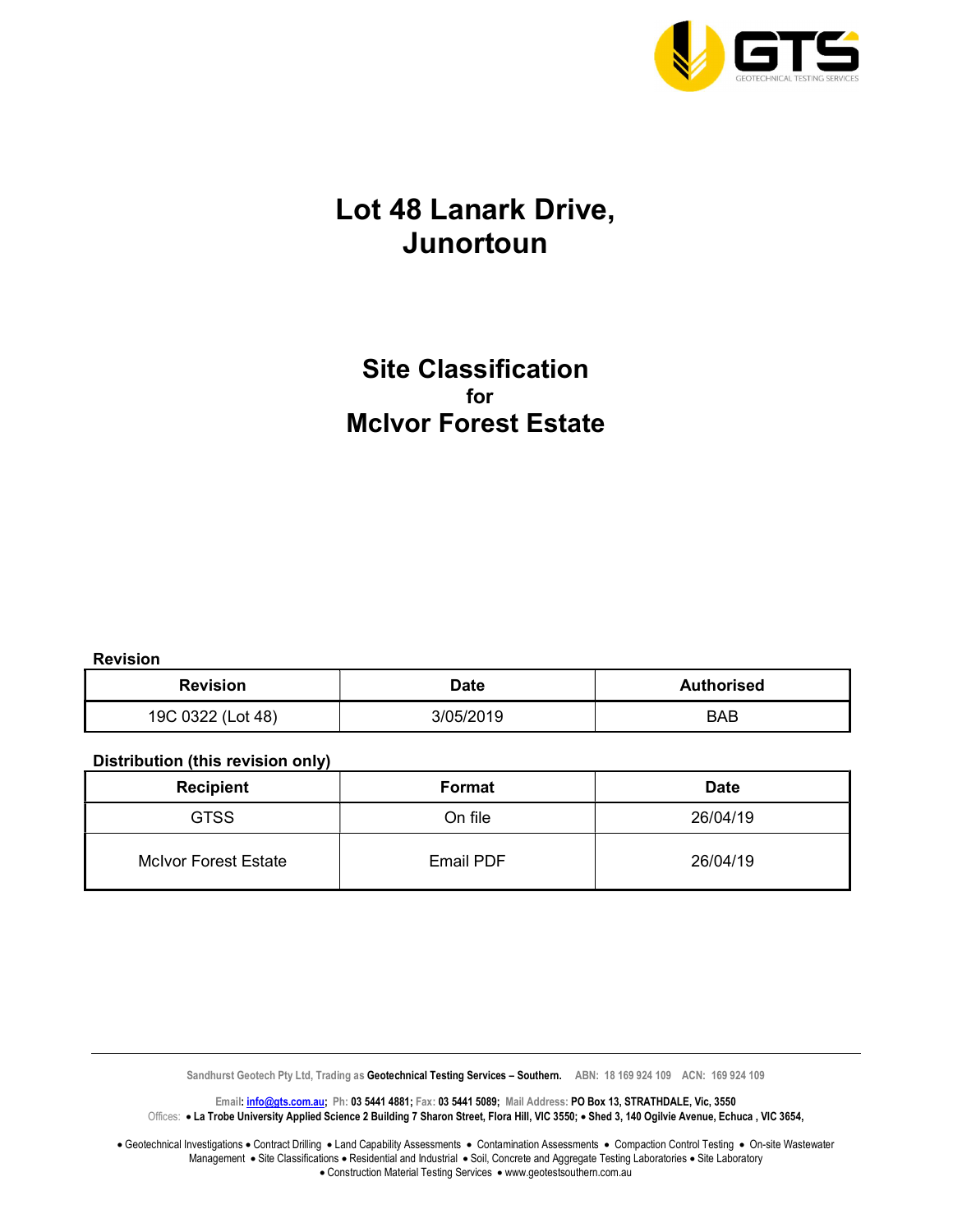

### Lot 48 Lanark Drive, Junortoun

### Site Classification for McIvor Forest Estate

Revision

| <b>Revision</b>   | Date      | <b>Authorised</b> |  |
|-------------------|-----------|-------------------|--|
| 19C 0322 (Lot 48) | 3/05/2019 | BAB               |  |

#### Distribution (this revision only)

| <b>Recipient</b>            | Format           | <b>Date</b> |
|-----------------------------|------------------|-------------|
| <b>GTSS</b>                 | On file          | 26/04/19    |
| <b>McIvor Forest Estate</b> | <b>Email PDF</b> | 26/04/19    |

Sandhurst Geotech Pty Ltd, Trading as Geotechnical Testing Services - Southern. ABN: 18 169 924 109 ACN: 169 924 109

Email: *info@gts.com.au;* Ph: 03 5441 4881; Fax: 03 5441 5089; Mail Address: PO Box 13, STRATHDALE, Vic, 3550 Offices: . La Trobe University Applied Science 2 Building 7 Sharon Street, Flora Hill, VIC 3550; . Shed 3, 140 Ogilvie Avenue, Echuca, VIC 3654,

Geotechnical Investigations . Contract Drilling . Land Capability Assessments . Contamination Assessments . Compaction Control Testing . On-site Wastewater Management • Site Classifications • Residential and Industrial • Soil, Concrete and Aggregate Testing Laboratories • Site Laboratory • Construction Material Testing Services • www.geotestsouthern.com.au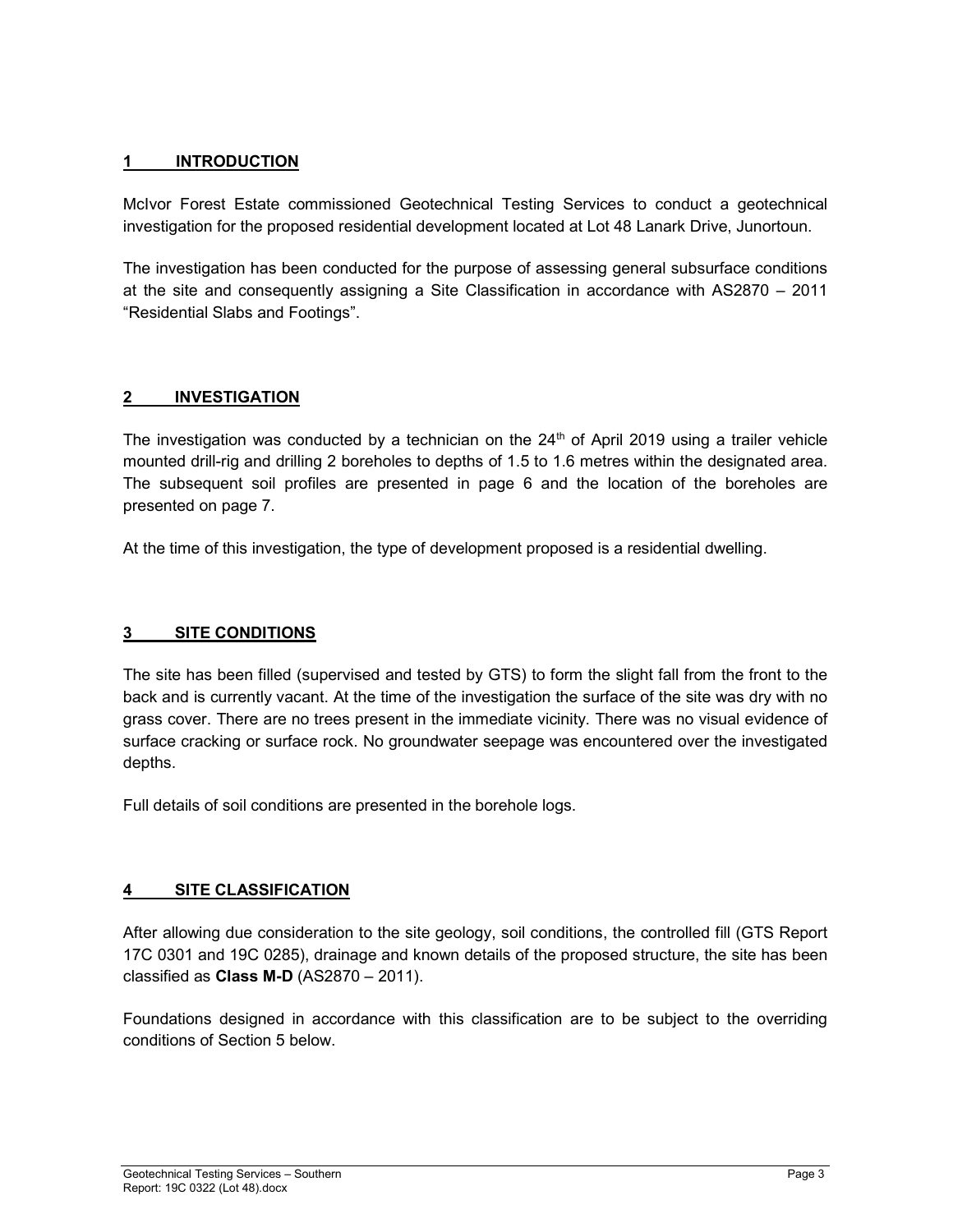#### 1 INTRODUCTION

McIvor Forest Estate commissioned Geotechnical Testing Services to conduct a geotechnical investigation for the proposed residential development located at Lot 48 Lanark Drive, Junortoun.

The investigation has been conducted for the purpose of assessing general subsurface conditions at the site and consequently assigning a Site Classification in accordance with AS2870 – 2011 "Residential Slabs and Footings".

#### 2 INVESTIGATION

The investigation was conducted by a technician on the  $24<sup>th</sup>$  of April 2019 using a trailer vehicle mounted drill-rig and drilling 2 boreholes to depths of 1.5 to 1.6 metres within the designated area. The subsequent soil profiles are presented in page 6 and the location of the boreholes are presented on page 7.

At the time of this investigation, the type of development proposed is a residential dwelling.

#### 3 SITE CONDITIONS

The site has been filled (supervised and tested by GTS) to form the slight fall from the front to the back and is currently vacant. At the time of the investigation the surface of the site was dry with no grass cover. There are no trees present in the immediate vicinity. There was no visual evidence of surface cracking or surface rock. No groundwater seepage was encountered over the investigated depths.

Full details of soil conditions are presented in the borehole logs.

#### 4 SITE CLASSIFICATION

After allowing due consideration to the site geology, soil conditions, the controlled fill (GTS Report 17C 0301 and 19C 0285), drainage and known details of the proposed structure, the site has been classified as Class M-D (AS2870 – 2011).

Foundations designed in accordance with this classification are to be subject to the overriding conditions of Section 5 below.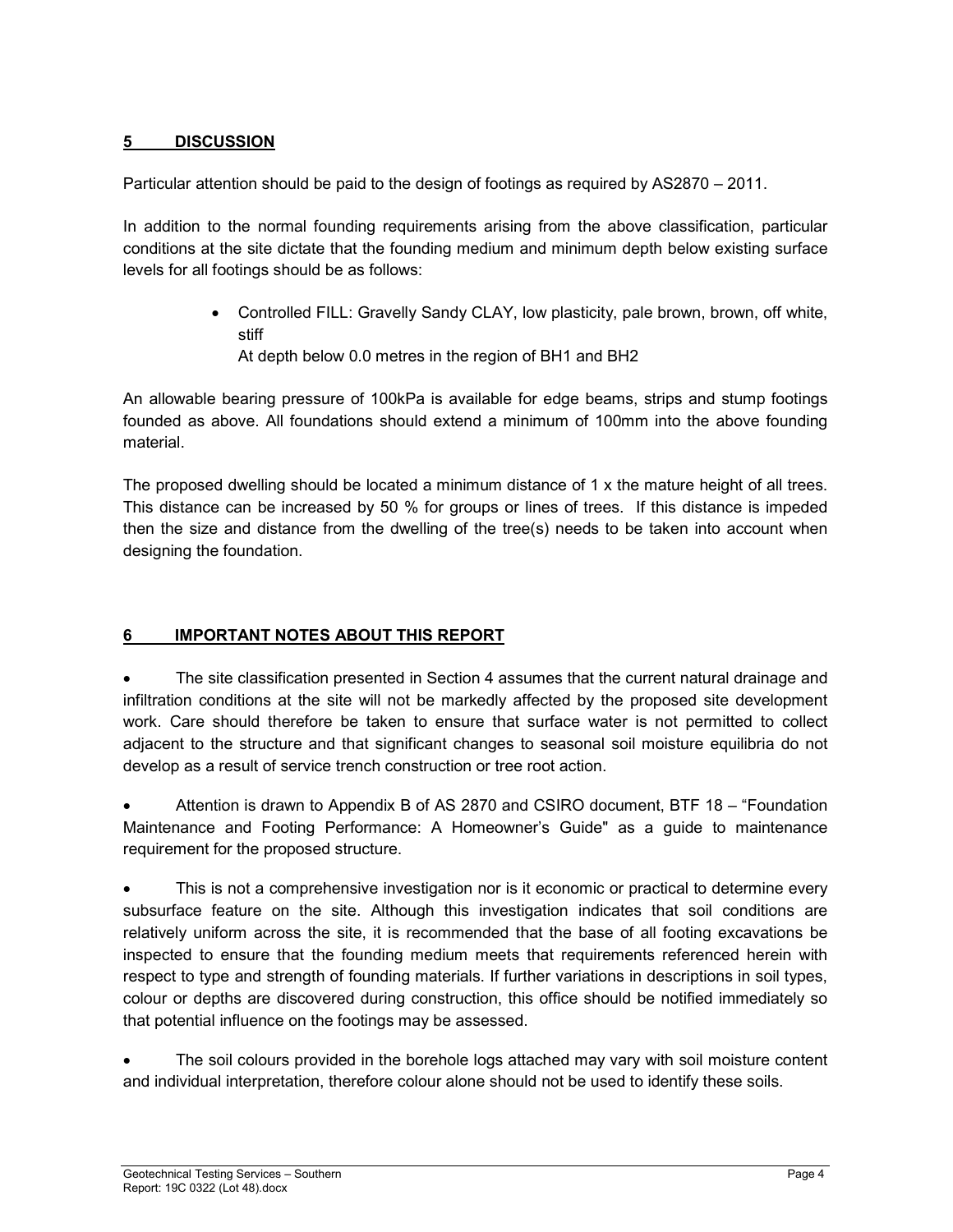#### 5 DISCUSSION

Particular attention should be paid to the design of footings as required by AS2870 – 2011.

In addition to the normal founding requirements arising from the above classification, particular conditions at the site dictate that the founding medium and minimum depth below existing surface levels for all footings should be as follows:

- Controlled FILL: Gravelly Sandy CLAY, low plasticity, pale brown, brown, off white, stiff
	- At depth below 0.0 metres in the region of BH1 and BH2

An allowable bearing pressure of 100kPa is available for edge beams, strips and stump footings founded as above. All foundations should extend a minimum of 100mm into the above founding material.

The proposed dwelling should be located a minimum distance of 1 x the mature height of all trees. This distance can be increased by 50 % for groups or lines of trees. If this distance is impeded then the size and distance from the dwelling of the tree(s) needs to be taken into account when designing the foundation.

#### 6 IMPORTANT NOTES ABOUT THIS REPORT

 The site classification presented in Section 4 assumes that the current natural drainage and infiltration conditions at the site will not be markedly affected by the proposed site development work. Care should therefore be taken to ensure that surface water is not permitted to collect adjacent to the structure and that significant changes to seasonal soil moisture equilibria do not develop as a result of service trench construction or tree root action.

 Attention is drawn to Appendix B of AS 2870 and CSIRO document, BTF 18 – "Foundation Maintenance and Footing Performance: A Homeowner's Guide" as a guide to maintenance requirement for the proposed structure.

 This is not a comprehensive investigation nor is it economic or practical to determine every subsurface feature on the site. Although this investigation indicates that soil conditions are relatively uniform across the site, it is recommended that the base of all footing excavations be inspected to ensure that the founding medium meets that requirements referenced herein with respect to type and strength of founding materials. If further variations in descriptions in soil types, colour or depths are discovered during construction, this office should be notified immediately so that potential influence on the footings may be assessed.

 The soil colours provided in the borehole logs attached may vary with soil moisture content and individual interpretation, therefore colour alone should not be used to identify these soils.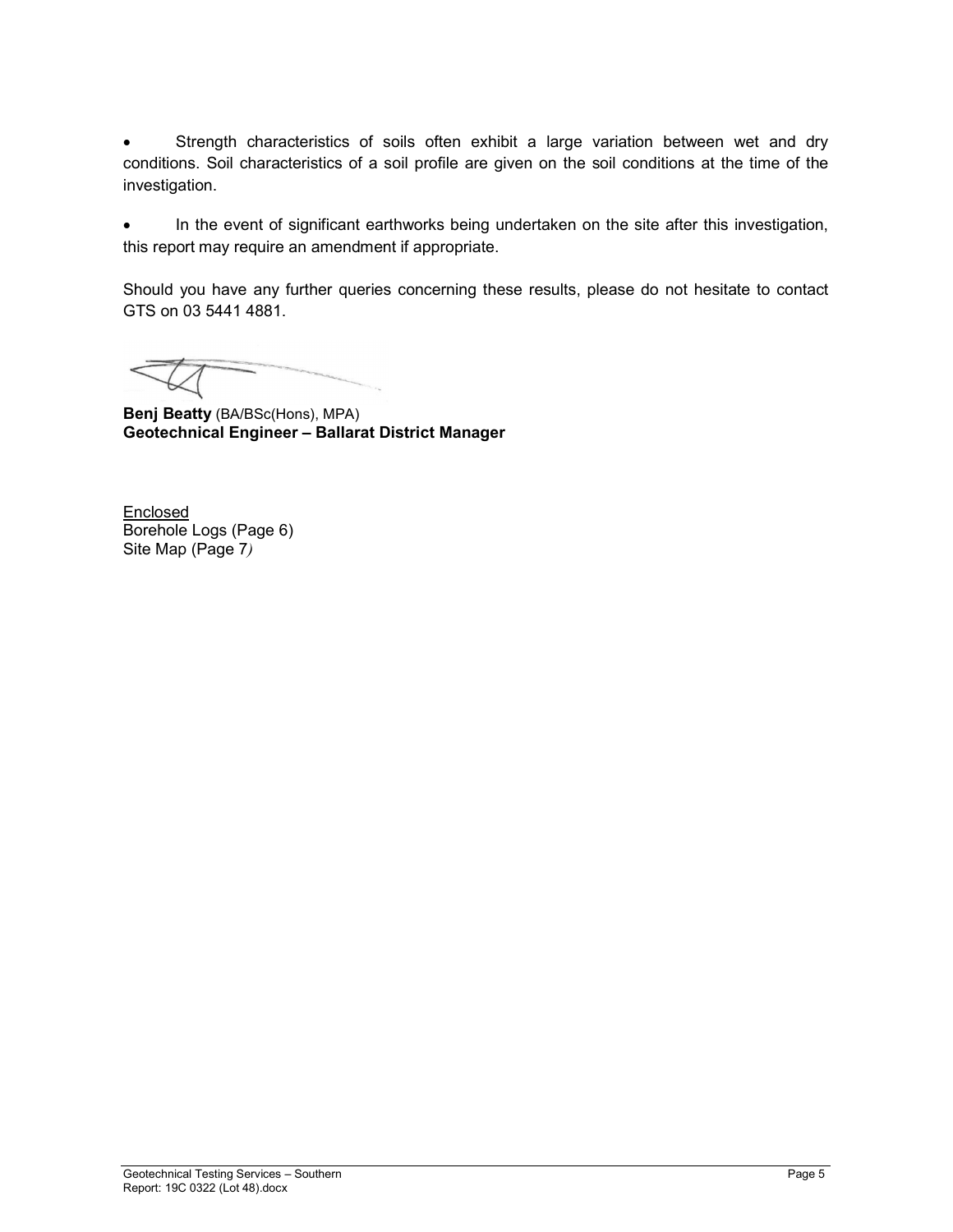Strength characteristics of soils often exhibit a large variation between wet and dry conditions. Soil characteristics of a soil profile are given on the soil conditions at the time of the investigation.

 In the event of significant earthworks being undertaken on the site after this investigation, this report may require an amendment if appropriate.

Should you have any further queries concerning these results, please do not hesitate to contact GTS on 03 5441 4881.

Benj Beatty (BA/BSc(Hons), MPA) Geotechnical Engineer – Ballarat District Manager

**Enclosed** Borehole Logs (Page 6) Site Map (Page 7)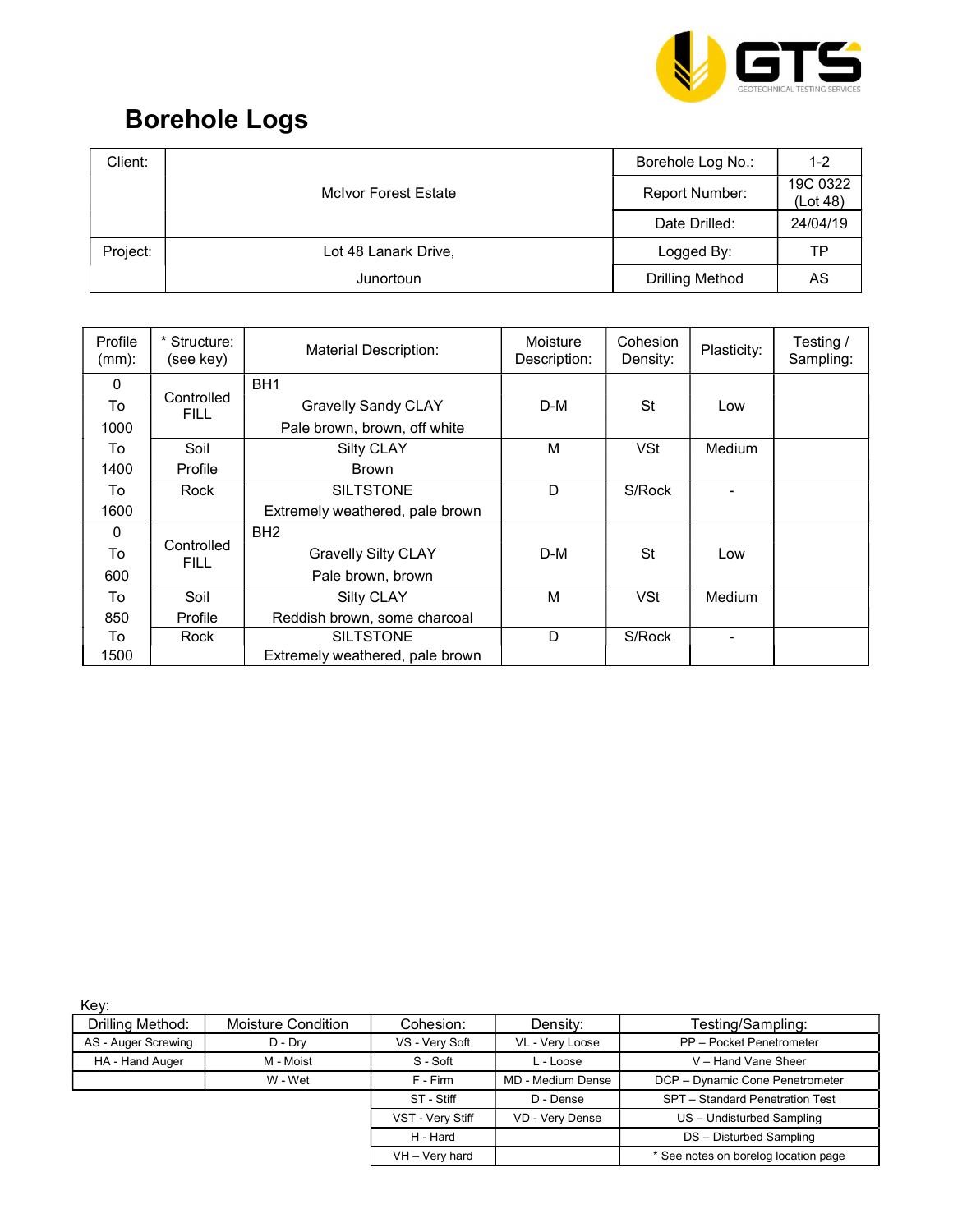

## Borehole Logs

| Client:  |                             | Borehole Log No.:      | $1 - 2$              |
|----------|-----------------------------|------------------------|----------------------|
|          | <b>McIvor Forest Estate</b> | Report Number:         | 19C 0322<br>(Lot 48) |
|          |                             | Date Drilled:          | 24/04/19             |
| Project: | Lot 48 Lanark Drive,        | Logged By:             | ТP                   |
|          | Junortoun                   | <b>Drilling Method</b> | AS                   |

| Profile<br>$(mm)$ : | Structure:<br>(see key) | <b>Material Description:</b>    | Moisture<br>Description: | Cohesion<br>Density: | Plasticity:              | Testing /<br>Sampling: |
|---------------------|-------------------------|---------------------------------|--------------------------|----------------------|--------------------------|------------------------|
| 0                   |                         | BH <sub>1</sub>                 |                          |                      |                          |                        |
| To                  | Controlled<br>FILL.     | <b>Gravelly Sandy CLAY</b>      | D-M                      | <b>St</b>            | Low                      |                        |
| 1000                |                         | Pale brown, brown, off white    |                          |                      |                          |                        |
| To                  | Soil                    | <b>Silty CLAY</b>               | M                        | <b>VSt</b>           | Medium                   |                        |
| 1400                | Profile                 | <b>Brown</b>                    |                          |                      |                          |                        |
| To                  | Rock                    | <b>SILTSTONE</b>                | D                        | S/Rock               | $\overline{\phantom{0}}$ |                        |
| 1600                |                         | Extremely weathered, pale brown |                          |                      |                          |                        |
| $\mathbf{0}$        |                         | BH <sub>2</sub>                 |                          |                      |                          |                        |
| To                  | Controlled<br>FILL.     | <b>Gravelly Silty CLAY</b>      | D-M                      | <b>St</b>            | Low                      |                        |
| 600                 |                         | Pale brown, brown               |                          |                      |                          |                        |
| To                  | Soil                    | <b>Silty CLAY</b>               | M                        | <b>VSt</b>           | Medium                   |                        |
| 850                 | Profile                 | Reddish brown, some charcoal    |                          |                      |                          |                        |
| To                  | Rock                    | <b>SILTSTONE</b>                | D                        | S/Rock               |                          |                        |
| 1500                |                         | Extremely weathered, pale brown |                          |                      |                          |                        |

Key:

| Drilling Method:    | <b>Moisture Condition</b> | Cohesion:        | Density:          | Testing/Sampling:                    |
|---------------------|---------------------------|------------------|-------------------|--------------------------------------|
| AS - Auger Screwing | D - Dry                   | VS - Very Soft   | VL - Very Loose   | PP - Pocket Penetrometer             |
| HA - Hand Auger     | M - Moist                 | S - Soft         | L - Loose         | V - Hand Vane Sheer                  |
|                     | W - Wet                   | F - Firm         | MD - Medium Dense | DCP - Dynamic Cone Penetrometer      |
|                     |                           | ST - Stiff       | D - Dense         | SPT - Standard Penetration Test      |
|                     |                           | VST - Very Stiff | VD - Very Dense   | US - Undisturbed Sampling            |
|                     |                           | H - Hard         |                   | DS - Disturbed Sampling              |
|                     |                           | VH - Very hard   |                   | * See notes on borelog location page |
|                     |                           |                  |                   |                                      |